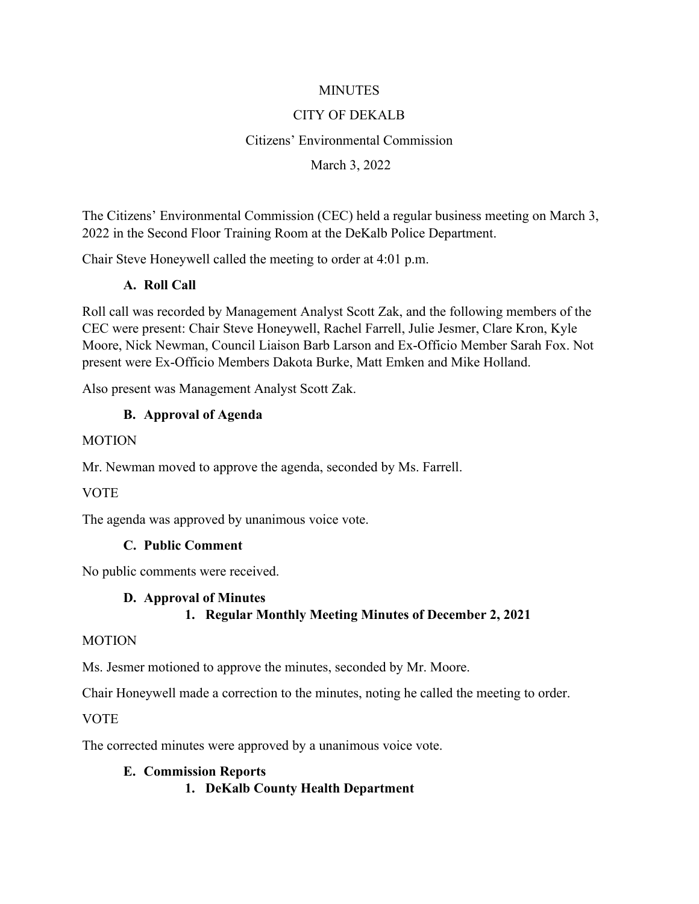#### **MINUTES**

#### CITY OF DEKALB

#### Citizens' Environmental Commission

#### March 3, 2022

The Citizens' Environmental Commission (CEC) held a regular business meeting on March 3, 2022 in the Second Floor Training Room at the DeKalb Police Department.

Chair Steve Honeywell called the meeting to order at 4:01 p.m.

#### **A. Roll Call**

Roll call was recorded by Management Analyst Scott Zak, and the following members of the CEC were present: Chair Steve Honeywell, Rachel Farrell, Julie Jesmer, Clare Kron, Kyle Moore, Nick Newman, Council Liaison Barb Larson and Ex-Officio Member Sarah Fox. Not present were Ex-Officio Members Dakota Burke, Matt Emken and Mike Holland.

Also present was Management Analyst Scott Zak.

#### **B. Approval of Agenda**

#### MOTION

Mr. Newman moved to approve the agenda, seconded by Ms. Farrell.

#### **VOTE**

The agenda was approved by unanimous voice vote.

#### **C. Public Comment**

No public comments were received.

#### **D. Approval of Minutes**

#### **1. Regular Monthly Meeting Minutes of December 2, 2021**

#### MOTION

Ms. Jesmer motioned to approve the minutes, seconded by Mr. Moore.

Chair Honeywell made a correction to the minutes, noting he called the meeting to order.

**VOTE** 

The corrected minutes were approved by a unanimous voice vote.

#### **E. Commission Reports 1. DeKalb County Health Department**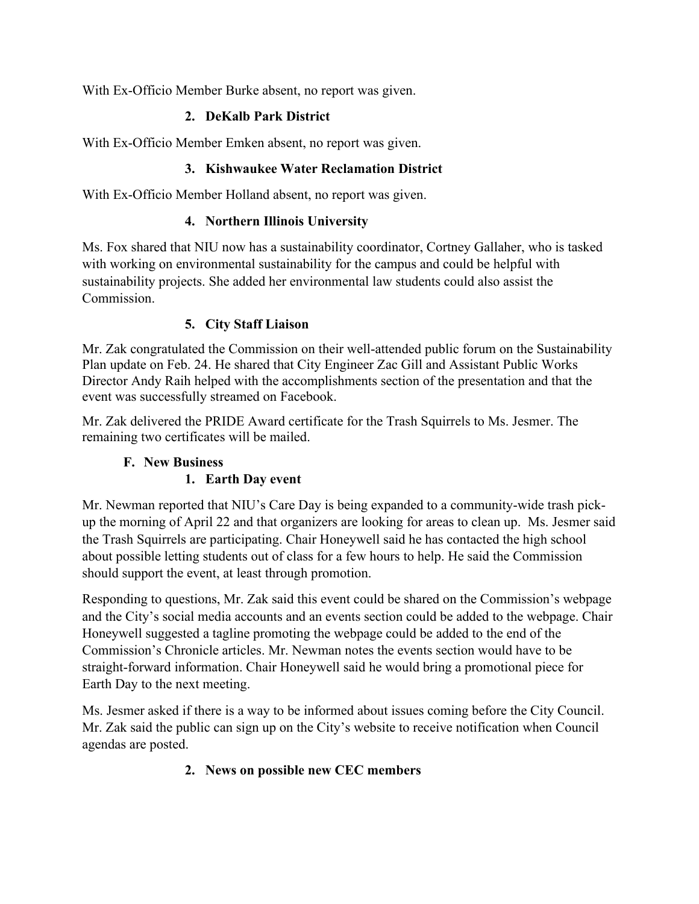With Ex-Officio Member Burke absent, no report was given.

## **2. DeKalb Park District**

With Ex-Officio Member Emken absent, no report was given.

## **3. Kishwaukee Water Reclamation District**

With Ex-Officio Member Holland absent, no report was given.

## **4. Northern Illinois University**

Ms. Fox shared that NIU now has a sustainability coordinator, Cortney Gallaher, who is tasked with working on environmental sustainability for the campus and could be helpful with sustainability projects. She added her environmental law students could also assist the Commission.

## **5. City Staff Liaison**

Mr. Zak congratulated the Commission on their well-attended public forum on the Sustainability Plan update on Feb. 24. He shared that City Engineer Zac Gill and Assistant Public Works Director Andy Raih helped with the accomplishments section of the presentation and that the event was successfully streamed on Facebook.

Mr. Zak delivered the PRIDE Award certificate for the Trash Squirrels to Ms. Jesmer. The remaining two certificates will be mailed.

# **F. New Business**

# **1. Earth Day event**

Mr. Newman reported that NIU's Care Day is being expanded to a community-wide trash pickup the morning of April 22 and that organizers are looking for areas to clean up. Ms. Jesmer said the Trash Squirrels are participating. Chair Honeywell said he has contacted the high school about possible letting students out of class for a few hours to help. He said the Commission should support the event, at least through promotion.

Responding to questions, Mr. Zak said this event could be shared on the Commission's webpage and the City's social media accounts and an events section could be added to the webpage. Chair Honeywell suggested a tagline promoting the webpage could be added to the end of the Commission's Chronicle articles. Mr. Newman notes the events section would have to be straight-forward information. Chair Honeywell said he would bring a promotional piece for Earth Day to the next meeting.

Ms. Jesmer asked if there is a way to be informed about issues coming before the City Council. Mr. Zak said the public can sign up on the City's website to receive notification when Council agendas are posted.

# **2. News on possible new CEC members**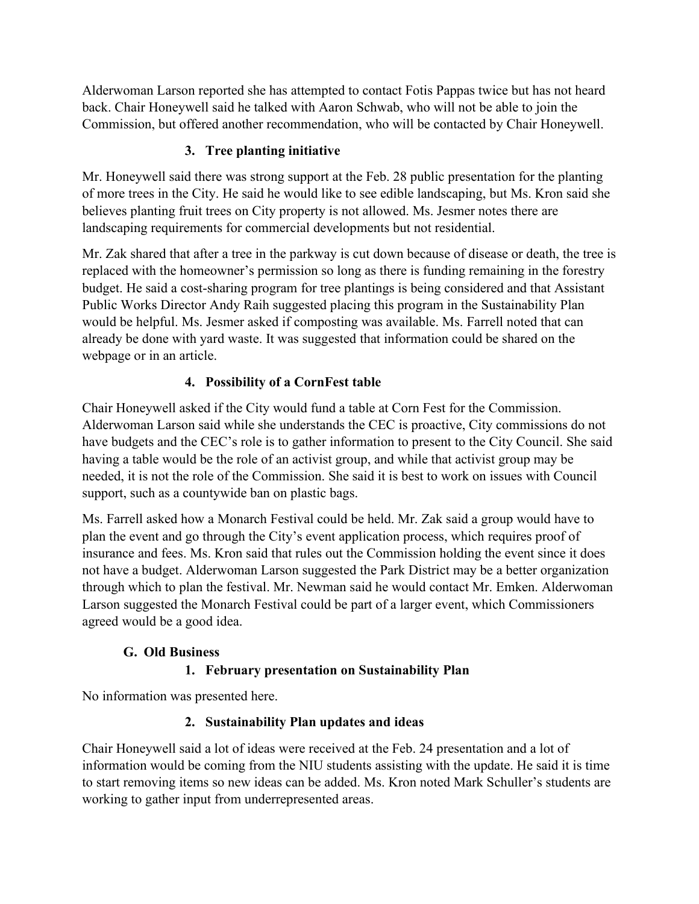Alderwoman Larson reported she has attempted to contact Fotis Pappas twice but has not heard back. Chair Honeywell said he talked with Aaron Schwab, who will not be able to join the Commission, but offered another recommendation, who will be contacted by Chair Honeywell.

## **3. Tree planting initiative**

Mr. Honeywell said there was strong support at the Feb. 28 public presentation for the planting of more trees in the City. He said he would like to see edible landscaping, but Ms. Kron said she believes planting fruit trees on City property is not allowed. Ms. Jesmer notes there are landscaping requirements for commercial developments but not residential.

Mr. Zak shared that after a tree in the parkway is cut down because of disease or death, the tree is replaced with the homeowner's permission so long as there is funding remaining in the forestry budget. He said a cost-sharing program for tree plantings is being considered and that Assistant Public Works Director Andy Raih suggested placing this program in the Sustainability Plan would be helpful. Ms. Jesmer asked if composting was available. Ms. Farrell noted that can already be done with yard waste. It was suggested that information could be shared on the webpage or in an article.

## **4. Possibility of a CornFest table**

Chair Honeywell asked if the City would fund a table at Corn Fest for the Commission. Alderwoman Larson said while she understands the CEC is proactive, City commissions do not have budgets and the CEC's role is to gather information to present to the City Council. She said having a table would be the role of an activist group, and while that activist group may be needed, it is not the role of the Commission. She said it is best to work on issues with Council support, such as a countywide ban on plastic bags.

Ms. Farrell asked how a Monarch Festival could be held. Mr. Zak said a group would have to plan the event and go through the City's event application process, which requires proof of insurance and fees. Ms. Kron said that rules out the Commission holding the event since it does not have a budget. Alderwoman Larson suggested the Park District may be a better organization through which to plan the festival. Mr. Newman said he would contact Mr. Emken. Alderwoman Larson suggested the Monarch Festival could be part of a larger event, which Commissioners agreed would be a good idea.

## **G. Old Business**

## **1. February presentation on Sustainability Plan**

No information was presented here.

## **2. Sustainability Plan updates and ideas**

Chair Honeywell said a lot of ideas were received at the Feb. 24 presentation and a lot of information would be coming from the NIU students assisting with the update. He said it is time to start removing items so new ideas can be added. Ms. Kron noted Mark Schuller's students are working to gather input from underrepresented areas.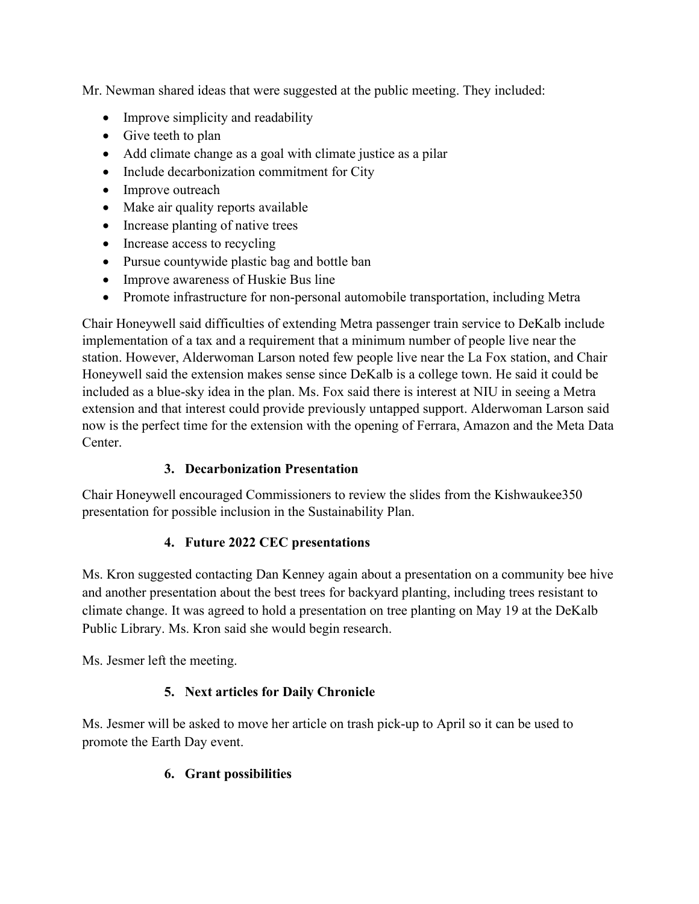Mr. Newman shared ideas that were suggested at the public meeting. They included:

- Improve simplicity and readability
- Give teeth to plan
- Add climate change as a goal with climate justice as a pilar
- Include decarbonization commitment for City
- Improve outreach
- Make air quality reports available
- Increase planting of native trees
- Increase access to recycling
- Pursue countywide plastic bag and bottle ban
- Improve awareness of Huskie Bus line
- Promote infrastructure for non-personal automobile transportation, including Metra

Chair Honeywell said difficulties of extending Metra passenger train service to DeKalb include implementation of a tax and a requirement that a minimum number of people live near the station. However, Alderwoman Larson noted few people live near the La Fox station, and Chair Honeywell said the extension makes sense since DeKalb is a college town. He said it could be included as a blue-sky idea in the plan. Ms. Fox said there is interest at NIU in seeing a Metra extension and that interest could provide previously untapped support. Alderwoman Larson said now is the perfect time for the extension with the opening of Ferrara, Amazon and the Meta Data Center.

## **3. Decarbonization Presentation**

Chair Honeywell encouraged Commissioners to review the slides from the Kishwaukee350 presentation for possible inclusion in the Sustainability Plan.

# **4. Future 2022 CEC presentations**

Ms. Kron suggested contacting Dan Kenney again about a presentation on a community bee hive and another presentation about the best trees for backyard planting, including trees resistant to climate change. It was agreed to hold a presentation on tree planting on May 19 at the DeKalb Public Library. Ms. Kron said she would begin research.

Ms. Jesmer left the meeting.

# **5. Next articles for Daily Chronicle**

Ms. Jesmer will be asked to move her article on trash pick-up to April so it can be used to promote the Earth Day event.

## **6. Grant possibilities**